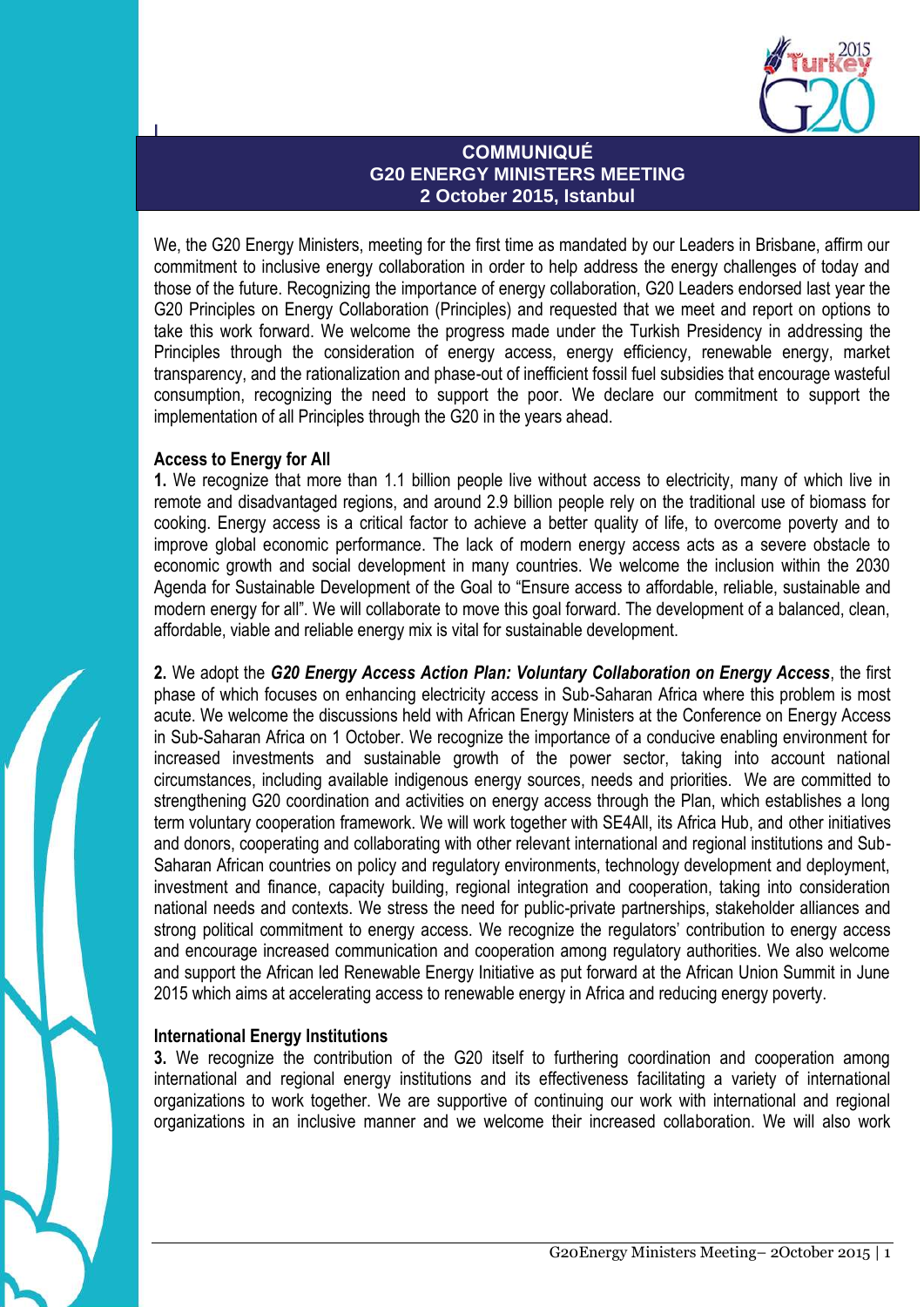

# **COMMUNIQUÉ G20 ENERGY MINISTERS MEETING 2 October 2015, Istanbul**

We, the G20 Energy Ministers, meeting for the first time as mandated by our Leaders in Brisbane, affirm our **2 2015** commitment to inclusive energy collaboration in order to help address the energy challenges of today and those of the future. Recognizing the importance of energy collaboration, G20 Leaders endorsed last year the G20 Principles on Energy Collaboration (Principles) and requested that we meet and report on options to take this work forward. We welcome the progress made under the Turkish Presidency in addressing the Principles through the consideration of energy access, energy efficiency, renewable energy, market transparency, and the rationalization and phase-out of inefficient fossil fuel subsidies that encourage wasteful consumption, recognizing the need to support the poor. We declare our commitment to support the implementation of all Principles through the G20 in the years ahead.

# **Access to Energy for All**

**l**

**1.** We recognize that more than 1.1 billion people live without access to electricity, many of which live in remote and disadvantaged regions, and around 2.9 billion people rely on the traditional use of biomass for cooking. Energy access is a critical factor to achieve a better quality of life, to overcome poverty and to improve global economic performance. The lack of modern energy access acts as a severe obstacle to economic growth and social development in many countries. We welcome the inclusion within the 2030 Agenda for Sustainable Development of the Goal to "Ensure access to affordable, reliable, sustainable and modern energy for all". We will collaborate to move this goal forward. The development of a balanced, clean, affordable, viable and reliable energy mix is vital for sustainable development.

**2.** We adopt the *G20 Energy Access Action Plan: Voluntary Collaboration on Energy Access*, the first phase of which focuses on enhancing electricity access in Sub-Saharan Africa where this problem is most acute. We welcome the discussions held with African Energy Ministers at the Conference on Energy Access in Sub-Saharan Africa on 1 October. We recognize the importance of a conducive enabling environment for increased investments and sustainable growth of the power sector, taking into account national circumstances, including available indigenous energy sources, needs and priorities. We are committed to strengthening G20 coordination and activities on energy access through the Plan, which establishes a long term voluntary cooperation framework. We will work together with SE4All, its Africa Hub, and other initiatives and donors, cooperating and collaborating with other relevant international and regional institutions and Sub-Saharan African countries on policy and regulatory environments, technology development and deployment, investment and finance, capacity building, regional integration and cooperation, taking into consideration national needs and contexts. We stress the need for public-private partnerships, stakeholder alliances and strong political commitment to energy access. We recognize the regulators' contribution to energy access and encourage increased communication and cooperation among regulatory authorities. We also welcome and support the African led Renewable Energy Initiative as put forward at the African Union Summit in June 2015 which aims at accelerating access to renewable energy in Africa and reducing energy poverty.

# **International Energy Institutions**

**3.** We recognize the contribution of the G20 itself to furthering coordination and cooperation among international and regional energy institutions and its effectiveness facilitating a variety of international organizations to work together. We are supportive of continuing our work with international and regional organizations in an inclusive manner and we welcome their increased collaboration. We will also work

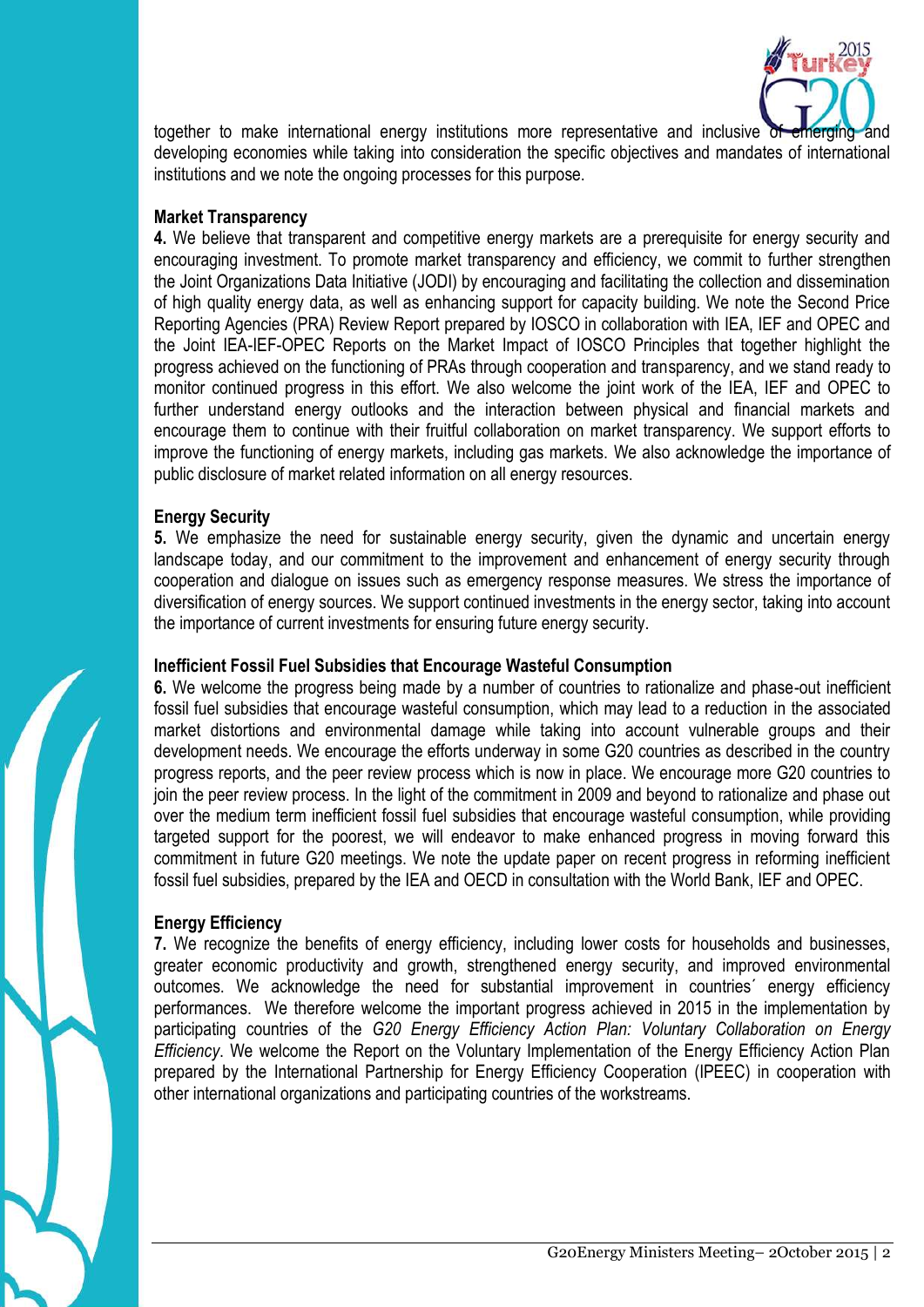

together to make international energy institutions more representative and inclusive of developing economies while taking into consideration the specific objectives and mandates of international institutions and we note the ongoing processes for this purpose.

#### **Market Transparency**

**4.** We believe that transparent and competitive energy markets are a prerequisite for energy security and encouraging investment. To promote market transparency and efficiency, we commit to further strengthen the Joint Organizations Data Initiative (JODI) by encouraging and facilitating the collection and dissemination of high quality energy data, as well as enhancing support for capacity building. We note the Second Price Reporting Agencies (PRA) Review Report prepared by IOSCO in collaboration with IEA, IEF and OPEC and the Joint IEA-IEF-OPEC Reports on the Market Impact of IOSCO Principles that together highlight the progress achieved on the functioning of PRAs through cooperation and transparency, and we stand ready to monitor continued progress in this effort. We also welcome the joint work of the IEA, IEF and OPEC to further understand energy outlooks and the interaction between physical and financial markets and encourage them to continue with their fruitful collaboration on market transparency. We support efforts to improve the functioning of energy markets, including gas markets. We also acknowledge the importance of public disclosure of market related information on all energy resources.

### **Energy Security**

**5.** We emphasize the need for sustainable energy security, given the dynamic and uncertain energy landscape today, and our commitment to the improvement and enhancement of energy security through cooperation and dialogue on issues such as emergency response measures. We stress the importance of diversification of energy sources. We support continued investments in the energy sector, taking into account the importance of current investments for ensuring future energy security.

### **Inefficient Fossil Fuel Subsidies that Encourage Wasteful Consumption**

**6.** We welcome the progress being made by a number of countries to rationalize and phase-out inefficient fossil fuel subsidies that encourage wasteful consumption, which may lead to a reduction in the associated market distortions and environmental damage while taking into account vulnerable groups and their development needs. We encourage the efforts underway in some G20 countries as described in the country progress reports, and the peer review process which is now in place. We encourage more G20 countries to join the peer review process. In the light of the commitment in 2009 and beyond to rationalize and phase out over the medium term inefficient fossil fuel subsidies that encourage wasteful consumption, while providing targeted support for the poorest, we will endeavor to make enhanced progress in moving forward this commitment in future G20 meetings. We note the update paper on recent progress in reforming inefficient fossil fuel subsidies, prepared by the IEA and OECD in consultation with the World Bank, IEF and OPEC.

# **Energy Efficiency**

**7.** We recognize the benefits of energy efficiency, including lower costs for households and businesses, greater economic productivity and growth, strengthened energy security, and improved environmental outcomes. We acknowledge the need for substantial improvement in countries´ energy efficiency performances. We therefore welcome the important progress achieved in 2015 in the implementation by participating countries of the *G20 Energy Efficiency Action Plan: Voluntary Collaboration on Energy Efficiency*. We welcome the Report on the Voluntary Implementation of the Energy Efficiency Action Plan prepared by the International Partnership for Energy Efficiency Cooperation (IPEEC) in cooperation with other international organizations and participating countries of the workstreams.